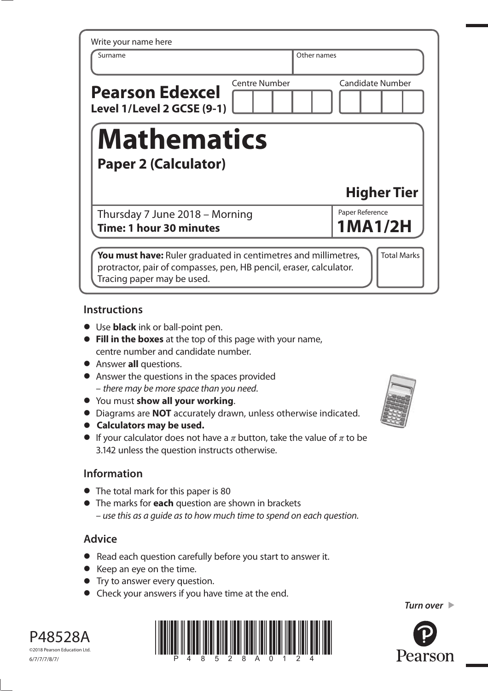| Write your name here                                 |                      |             |                         |
|------------------------------------------------------|----------------------|-------------|-------------------------|
| Surname                                              |                      | Other names |                         |
| <b>Pearson Edexcel</b><br>Level 1/Level 2 GCSE (9-1) | <b>Centre Number</b> |             | <b>Candidate Number</b> |
| <b>Mathematics</b><br><b>Paper 2 (Calculator)</b>    |                      |             |                         |
|                                                      |                      |             | <b>Higher Tier</b>      |
| Thursday 7 June 2018 - Morning                       |                      |             | Paper Reference         |
| Time: 1 hour 30 minutes                              |                      |             | <b>1MA1/2H</b>          |

#### **Instructions**

- **•** Use **black** ink or ball-point pen.
- **• Fill in the boxes** at the top of this page with your name, centre number and candidate number.
- **•** Answer **all** questions.
- **•** Answer the questions in the spaces provided – there may be more space than you need.
- **•** You must **show all your working**.
- **•** You must **show all your working**.<br>**•** Diagrams are **NOT** accurately drawn, unless otherwise indicated.
- **•** Diagrams are **NOT** accurate<br>**•** Calculators may be used.
- **• Calculators may be used.**<br>• If your calculator does not have a  $\pi$  button, take the value of  $\pi$  to be 3.142 unless the question instructs otherwise.

# **Information**

- **•** The total mark for this paper is 80
- **•** The marks for **each** question are shown in brackets – use this as a guide as to how much time to spend on each question.

# **Advice**

- **•** Read each question carefully before you start to answer it.
- **•** Keep an eye on the time.
- **•** Try to answer every question.
- **•** Check your answers if you have time at the end.



P48528A ©2018 Pearson Education Ltd.



*Turn over* 

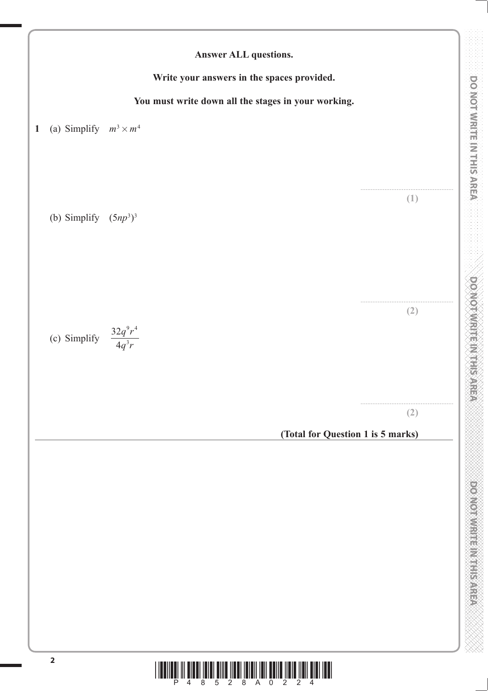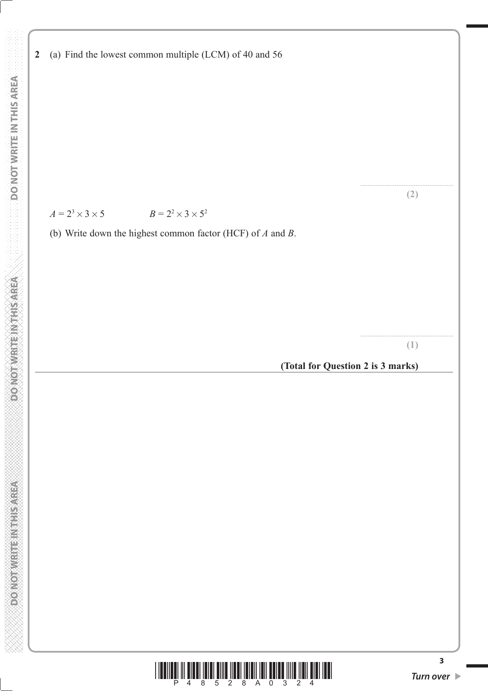**2** (a) Find the lowest common multiple (LCM) of 40 and 56

# *A* =  $2^3 \times 3 \times 5$  *B* =  $2^2 \times 3 \times 5^2$

(b) Write down the highest common factor (HCF) of *A* and *B*.

...................................................... **(1)**

...................................................... **(2)**

**(Total for Question 2 is 3 marks)**



**3**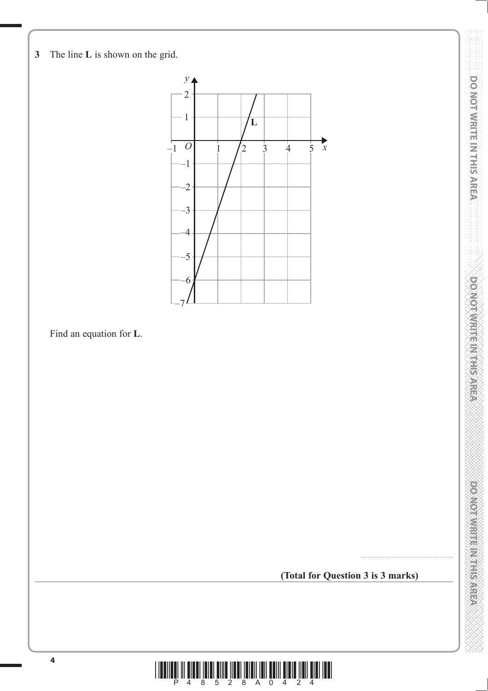



Find an equation for **L**.

**(Total for Question 3 is 3 marks)**

......................................................

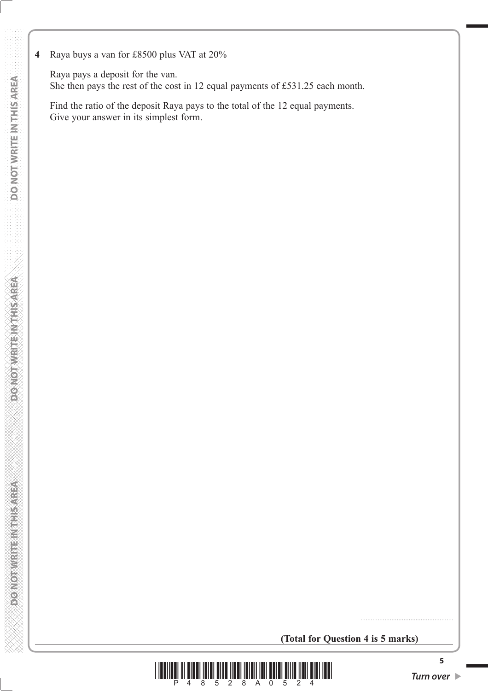**4** Raya buys a van for £8500 plus VAT at 20%

 Raya pays a deposit for the van. She then pays the rest of the cost in 12 equal payments of £531.25 each month.

 Find the ratio of the deposit Raya pays to the total of the 12 equal payments. Give your answer in its simplest form.

**(Total for Question 4 is 5 marks)**



......................................................

**5**

**DONOT WRITEINTHIS AREA**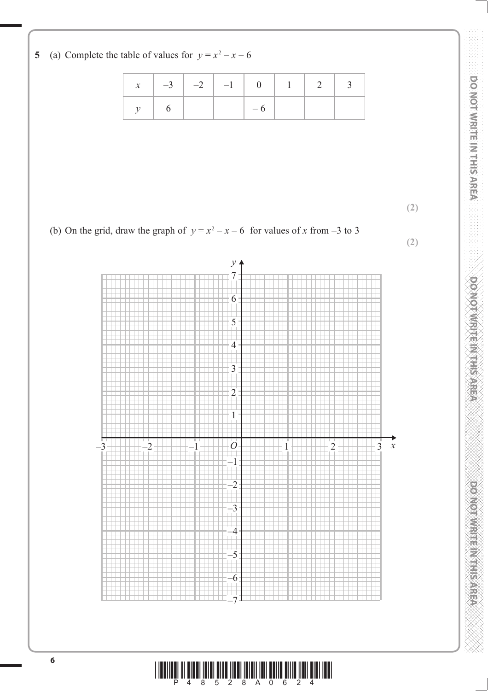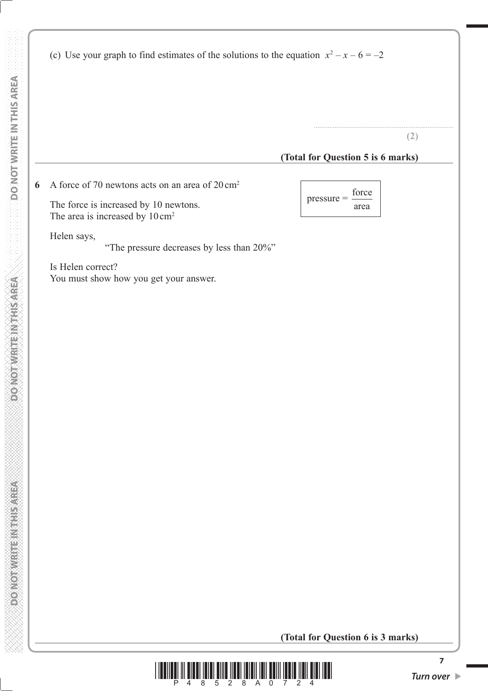(c) Use your graph to find estimates of the solutions to the equation  $x^2 - x - 6 = -2$ 

**(2)**

.................................................................................

#### **(Total for Question 5 is 6 marks)**

**6** A force of 70 newtons acts on an area of 20 cm2

The force is increased by 10 newtons.  $\left| \begin{array}{c} \text{pressure} \\ \text{area} \end{array} \right|$ The area is increased by  $10 \text{ cm}^2$ 

Helen says,

"The pressure decreases by less than 20%"

 Is Helen correct? You must show how you get your answer. pressure = force

**(Total for Question 6 is 3 marks)**

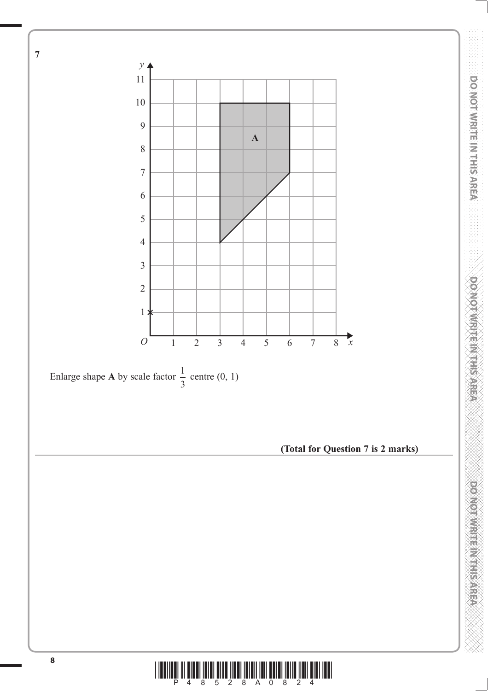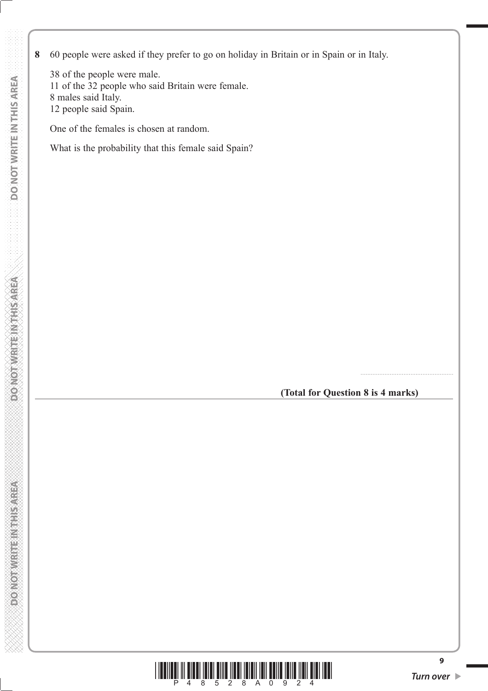**8** 60 people were asked if they prefer to go on holiday in Britain or in Spain or in Italy.

 38 of the people were male. 11 of the 32 people who said Britain were female. 8 males said Italy. 12 people said Spain.

One of the females is chosen at random.

What is the probability that this female said Spain?

**(Total for Question 8 is 4 marks)**

......................................................



**9**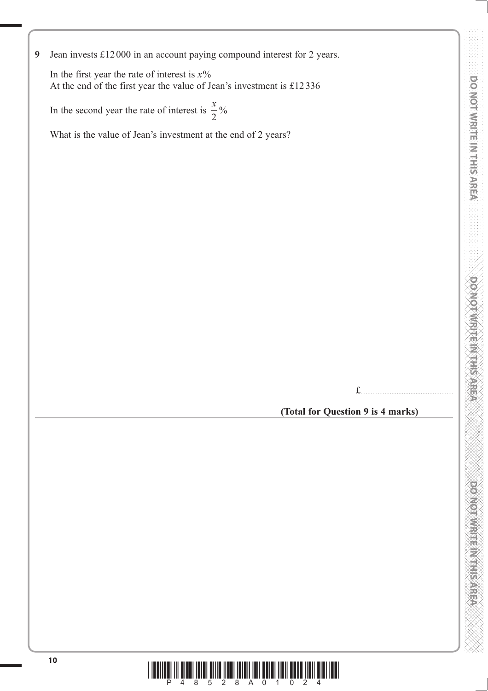**9** Jean invests £12 000 in an account paying compound interest for 2 years.

 In the first year the rate of interest is *x*% At the end of the first year the value of Jean's investment is £12 336

In the second year the rate of interest is  $\frac{x}{2}$ 2  $\frac{0}{0}$ 

What is the value of Jean's investment at the end of 2 years?

£......................................................

**(Total for Question 9 is 4 marks)**

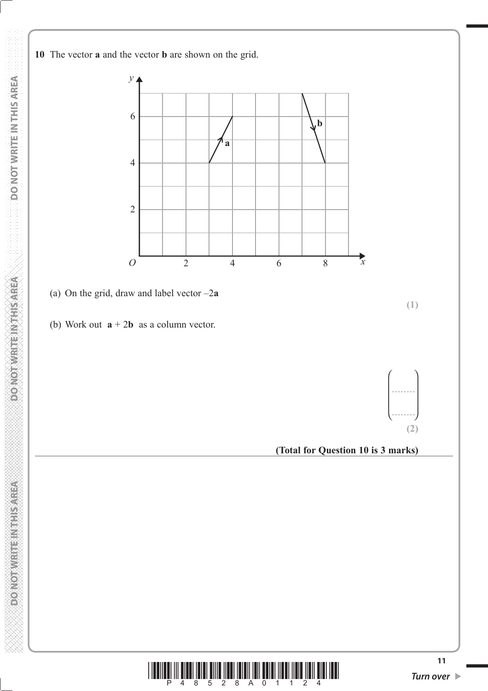**10** The vector **a** and the vector **b** are shown on the grid.





**DOMORATE REGISTER OF** 

DO NOT WRITE IN THIS AREA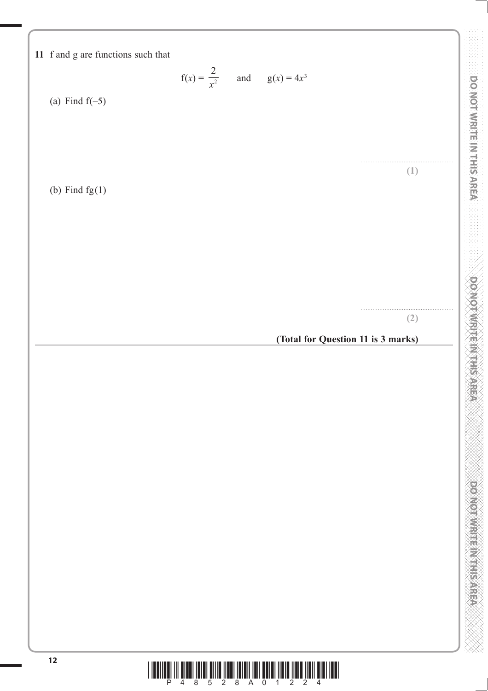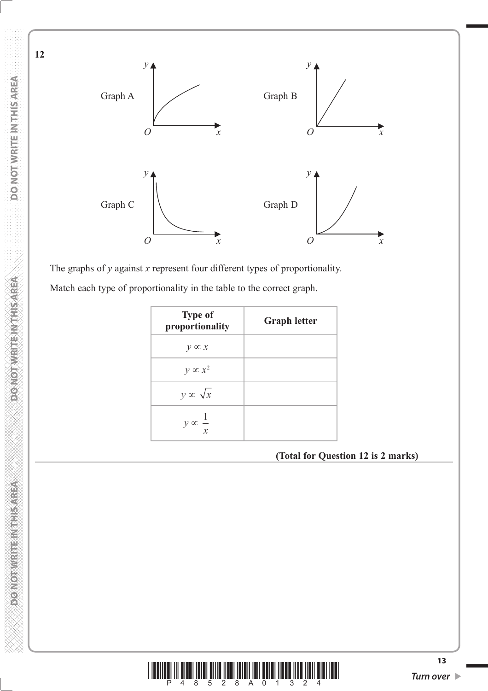

The graphs of *y* against *x* represent four different types of proportionality.

Match each type of proportionality in the table to the correct graph.

| <b>Type of</b><br>proportionality | <b>Graph letter</b> |
|-----------------------------------|---------------------|
| $y \propto x$                     |                     |
| $y \propto x^2$                   |                     |
| $y \propto \sqrt{x}$              |                     |
| $y \propto -\frac{x}{x}$          |                     |

**(Total for Question 12 is 2 marks)**



**DOMORATE REGISTER OF** 

**12**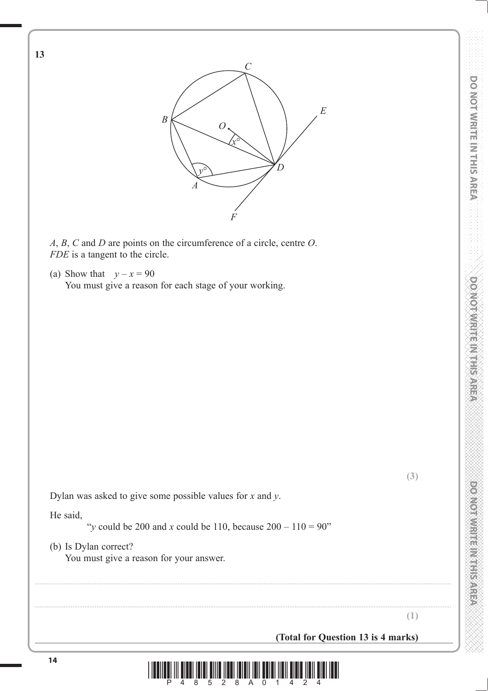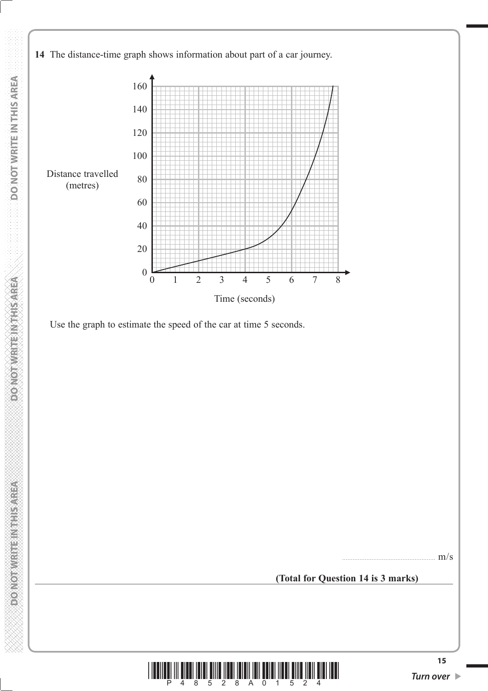



Use the graph to estimate the speed of the car at time 5 seconds.

...................................................... m/s

**(Total for Question 14 is 3 marks)**



**DONOT WRITEIN THIS AREA**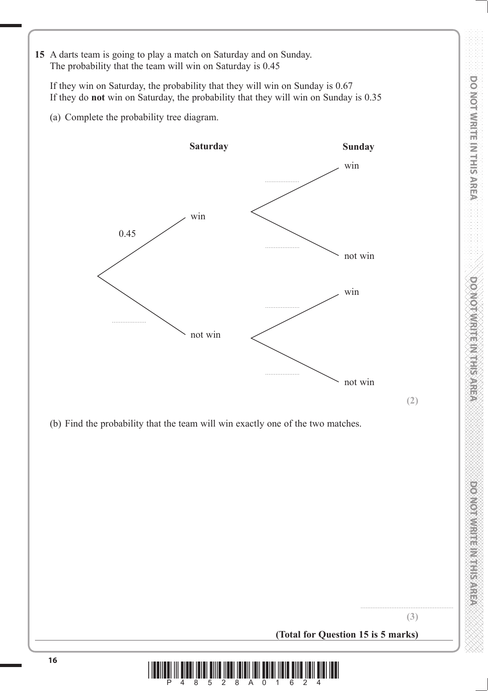**15** A darts team is going to play a match on Saturday and on Sunday. The probability that the team will win on Saturday is 0.45

 If they win on Saturday, the probability that they will win on Sunday is 0.67 If they do **not** win on Saturday, the probability that they will win on Sunday is 0.35

(a) Complete the probability tree diagram.



(b) Find the probability that the team will win exactly one of the two matches.

...................................................... **(3)**

**(2)**

**DO NOT WRITE IN THIS AREA DO NOT WRITE IN THIS AREA DO NOT WRITE IN THIS AREA DO NOT WRITE IN THIS AREA DO NOT WRITE IN THIS AREA DO NOT WRITE IN THIS AREA DO NOT WRITE IN THIS AREA DO NOT WRITE IN THIS AREA DO NOT WRITE** 

**DOMOTWRITE IN THIS AREA** 

**DOWNTHEINTHISAREA** 

**DO NOT WRITE IN THIS AREA** 

**(Total for Question 15 is 5 marks)**

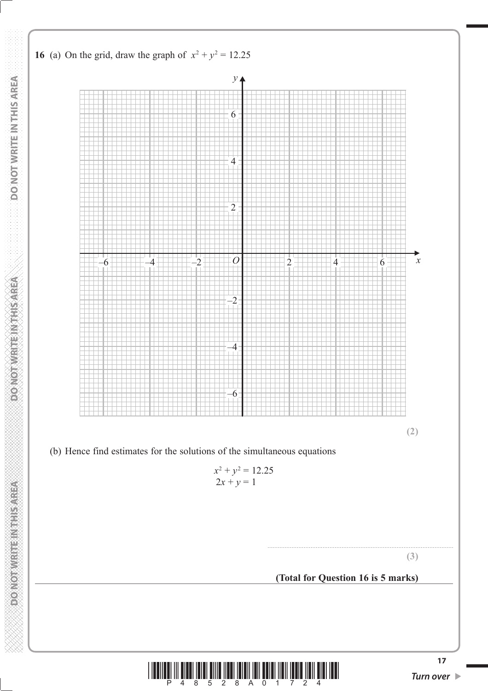

**<sup>17</sup>** \*P48528A01724\* *Turn over*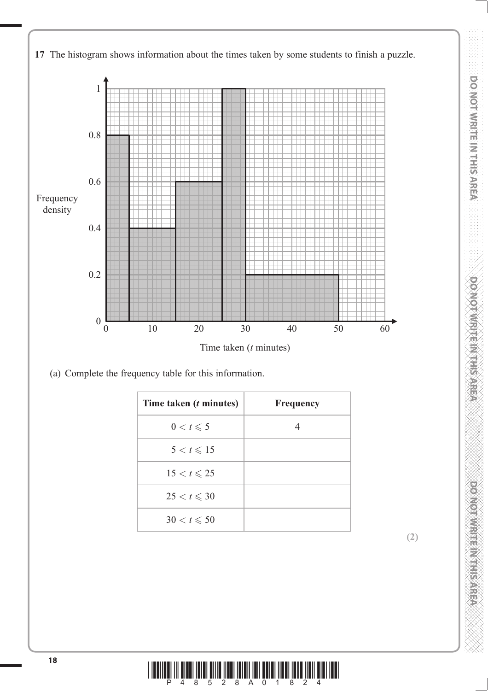

**DO NOT WRITE IN THIS AREA DO NOT WRITE IN THIS AREA DO NOT WRITE IN THIS AREA DO NOT WRITE IN THIS AREA DO NOT WRITE IN THIS AREA DO NOT WRITE IN THIS AREA DO NOT WRITE IN THIS AREA DO NOT WRITE IN THIS AREA DO NOT WRITE** 

**DO NOT WRITEIN THE SAREA** 

**DOMOTOMERICATE SAREA** 

DO NOT WRITE IN THIS AREA

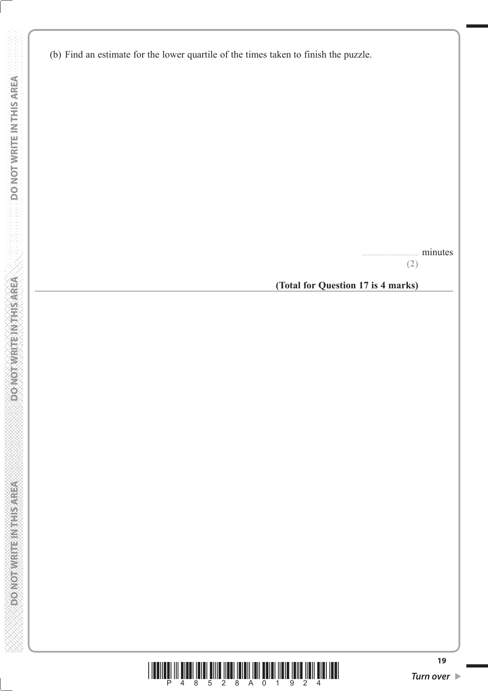**DO NOT WRITE IN THIS AREA DO NOT WRITE IN THIS AREA DO NOT WRITE IN THIS AREA DO NOT WRITE IN THIS AREA DO NOT** 

**WE ENSIGNEED FOR EMPLOYMENT** 

**DONOTWRITEWAHSAREA** 

DO NOT WRITE IN THIS AREA

................................. minutes

**(2)**

**(Total for Question 17 is 4 marks)**

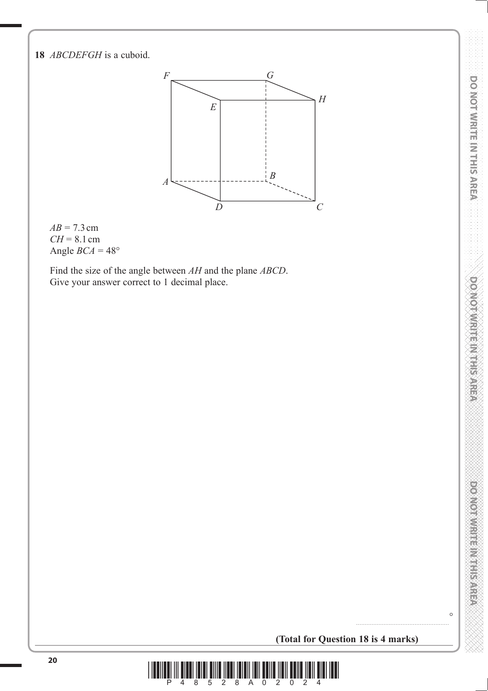**18** *ABCDEFGH* is a cuboid.



 $AB = 7.3$  cm *CH* = 8.1 cm Angle  $BCA = 48^\circ$ 

 Find the size of the angle between *AH* and the plane *ABCD*. Give your answer correct to 1 decimal place.

 $\circ$ 

**(Total for Question 18 is 4 marks)**

......................................................

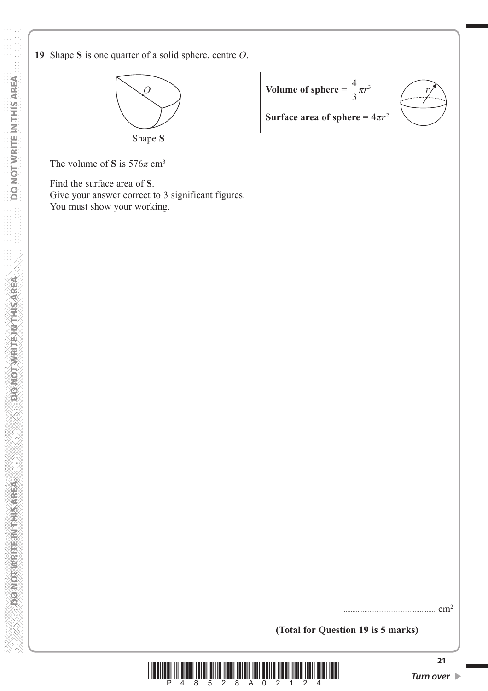

| Volume of sphere = $\frac{1}{2}\pi r^3$ |  |
|-----------------------------------------|--|
| Surface area of sphere = $4\pi r^2$     |  |

The volume of **S** is  $576\pi$  cm<sup>3</sup>

 Find the surface area of **S**. Give your answer correct to 3 significant figures. You must show your working.

**(Total for Question 19 is 5 marks)**



...................................................... cm2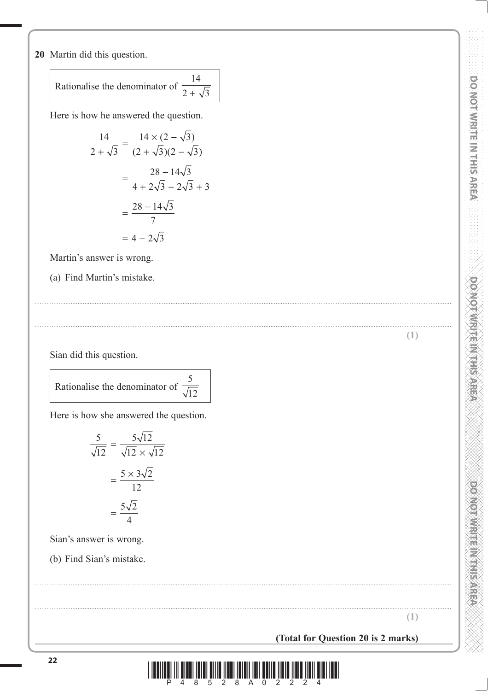20 Martin did this question.

 $14$ Rationalise the denominator of  $\frac{1}{2+\sqrt{3}}$ 

Here is how he answered the question.

$$
\frac{14}{2 + \sqrt{3}} = \frac{14 \times (2 - \sqrt{3})}{(2 + \sqrt{3})(2 - \sqrt{3})}
$$

$$
= \frac{28 - 14\sqrt{3}}{4 + 2\sqrt{3} - 2\sqrt{3} + 3}
$$

$$
= \frac{28 - 14\sqrt{3}}{7}
$$

$$
= 4 - 2\sqrt{3}
$$

Martin's answer is wrong.

(a) Find Martin's mistake.

Sian did this question.

5 Rationalise the denominator of  $\overline{\sqrt{12}}$ 

Here is how she answered the question.

$$
\frac{5}{\sqrt{12}} = \frac{5\sqrt{12}}{\sqrt{12} \times \sqrt{12}}
$$

$$
= \frac{5 \times 3\sqrt{2}}{12}
$$

$$
= \frac{5\sqrt{2}}{4}
$$

Sian's answer is wrong.

(b) Find Sian's mistake.

**DOMOTOMRITE MITHIEMSPREAR** 

**DOMOTIVE IN EINER STEEP** 

 $(1)$ 

(Total for Question 20 is 2 marks)

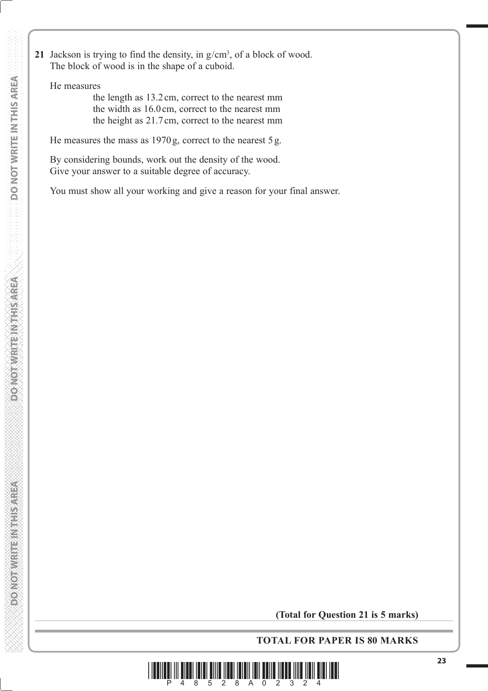**21** Jackson is trying to find the density, in  $g/cm<sup>3</sup>$ , of a block of wood. The block of wood is in the shape of a cuboid.

He measures

 the length as 13.2 cm, correct to the nearest mm the width as 16.0 cm, correct to the nearest mm the height as 21.7 cm, correct to the nearest mm

He measures the mass as 1970 g, correct to the nearest 5 g.

 By considering bounds, work out the density of the wood. Give your answer to a suitable degree of accuracy.

You must show all your working and give a reason for your final answer.

**(Total for Question 21 is 5 marks)**

**TOTAL FOR PAPER IS 80 MARKS**



**PONOTWERFER WATER**